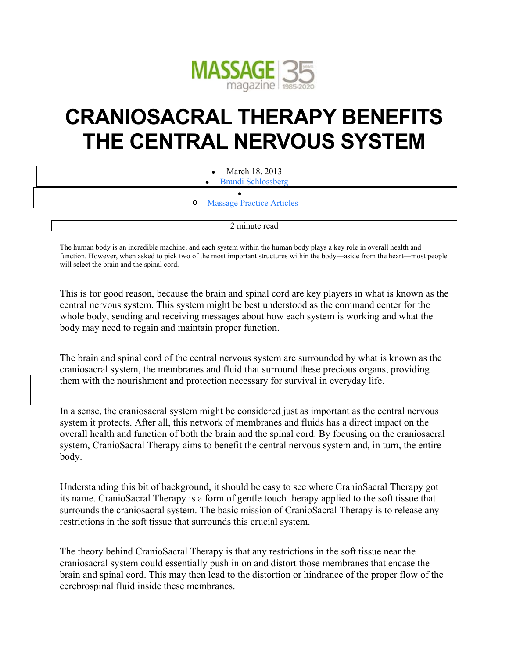

## **CRANIOSACRAL THERAPY BENEFITS THE CENTRAL NERVOUS SYSTEM**

| $\bullet$ March 18, 2013           |  |
|------------------------------------|--|
| • Brandi Schlossberg               |  |
|                                    |  |
| <b>o</b> Massage Practice Articles |  |
|                                    |  |
| 2 minute read                      |  |

The human body is an incredible machine, and each system within the human body plays a key role in overall health and function. However, when asked to pick two of the most important structures within the body—aside from the heart—most people will select the brain and the spinal cord.

This is for good reason, because the brain and spinal cord are key players in what is known as the central nervous system. This system might be best understood as the command center for the whole body, sending and receiving messages about how each system is working and what the body may need to regain and maintain proper function.

The brain and spinal cord of the central nervous system are surrounded by what is known as the craniosacral system, the membranes and fluid that surround these precious organs, providing them with the nourishment and protection necessary for survival in everyday life.

In a sense, the craniosacral system might be considered just as important as the central nervous system it protects. After all, this network of membranes and fluids has a direct impact on the overall health and function of both the brain and the spinal cord. By focusing on the craniosacral system, CranioSacral Therapy aims to benefit the central nervous system and, in turn, the entire body.

Understanding this bit of background, it should be easy to see where CranioSacral Therapy got its name. CranioSacral Therapy is a form of gentle touch therapy applied to the soft tissue that surrounds the craniosacral system. The basic mission of CranioSacral Therapy is to release any restrictions in the soft tissue that surrounds this crucial system.

The theory behind CranioSacral Therapy is that any restrictions in the soft tissue near the craniosacral system could essentially push in on and distort those membranes that encase the brain and spinal cord. This may then lead to the distortion or hindrance of the proper flow of the cerebrospinal fluid inside these membranes.